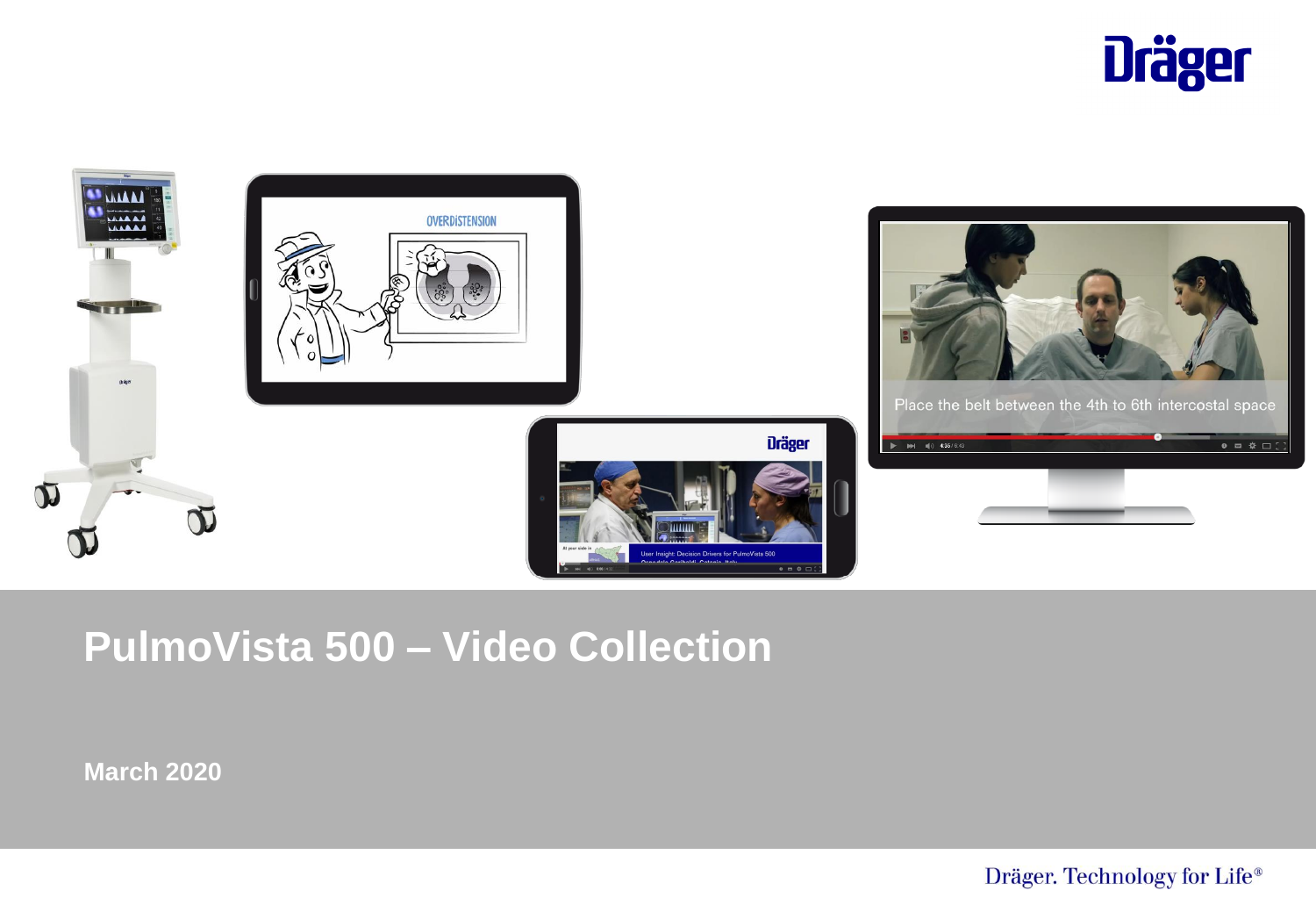



## **PulmoVista 500 – Video Collection**

**March 2020**

Dräger. Technology for Life®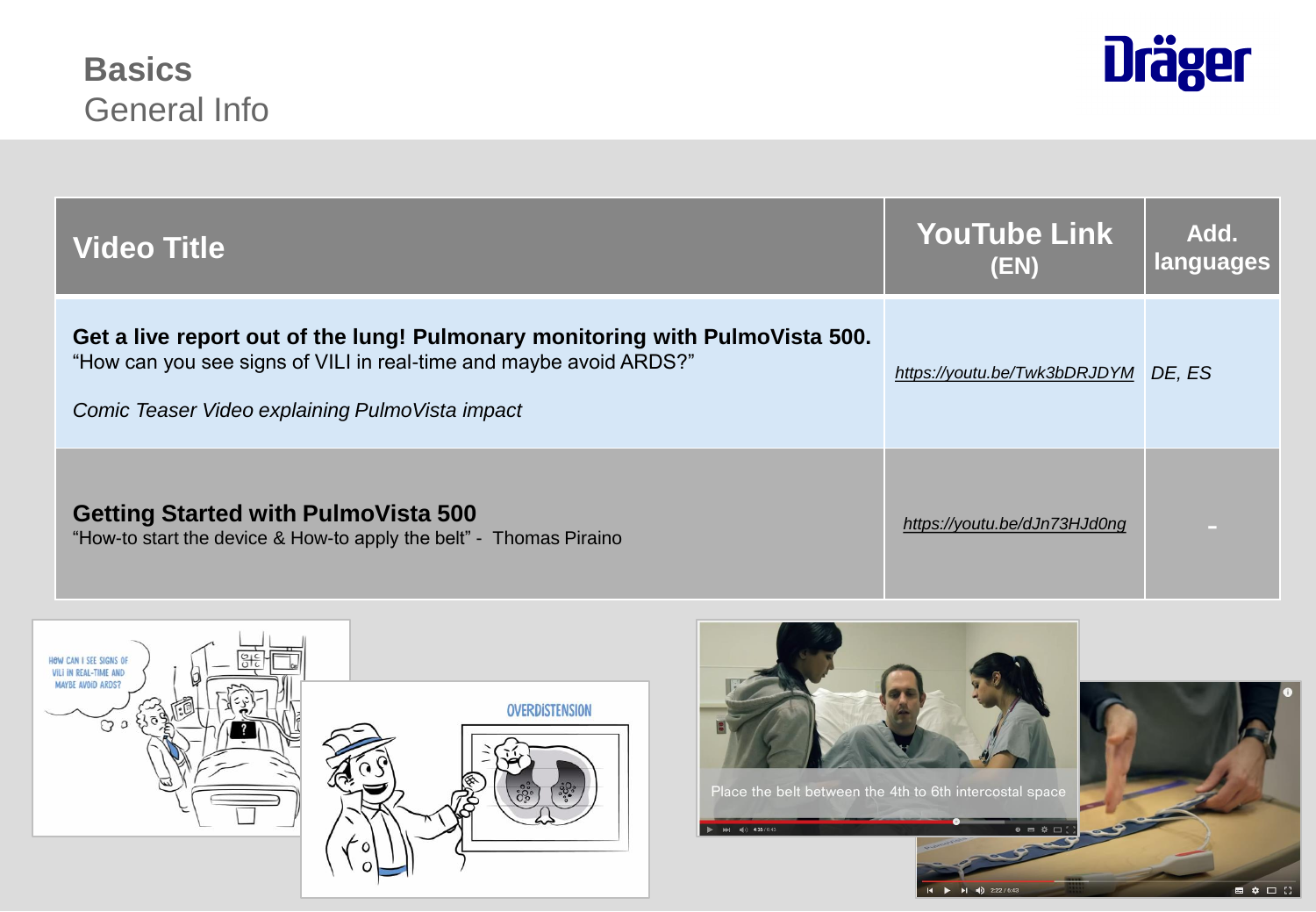



| <b>Video Title</b>                                                                                                                                                                                     | <b>YouTube Link</b><br>(EN)  | Add.<br>languages |
|--------------------------------------------------------------------------------------------------------------------------------------------------------------------------------------------------------|------------------------------|-------------------|
| Get a live report out of the lung! Pulmonary monitoring with PulmoVista 500.<br>"How can you see signs of VILI in real-time and maybe avoid ARDS?"<br>Comic Teaser Video explaining Pulmo Vista impact | https://youtu.be/Twk3bDRJDYM | DE, ES            |
| <b>Getting Started with PulmoVista 500</b><br>"How-to start the device & How-to apply the belt" - Thomas Piraino                                                                                       | https://youtu.be/dJn73HJd0ng |                   |



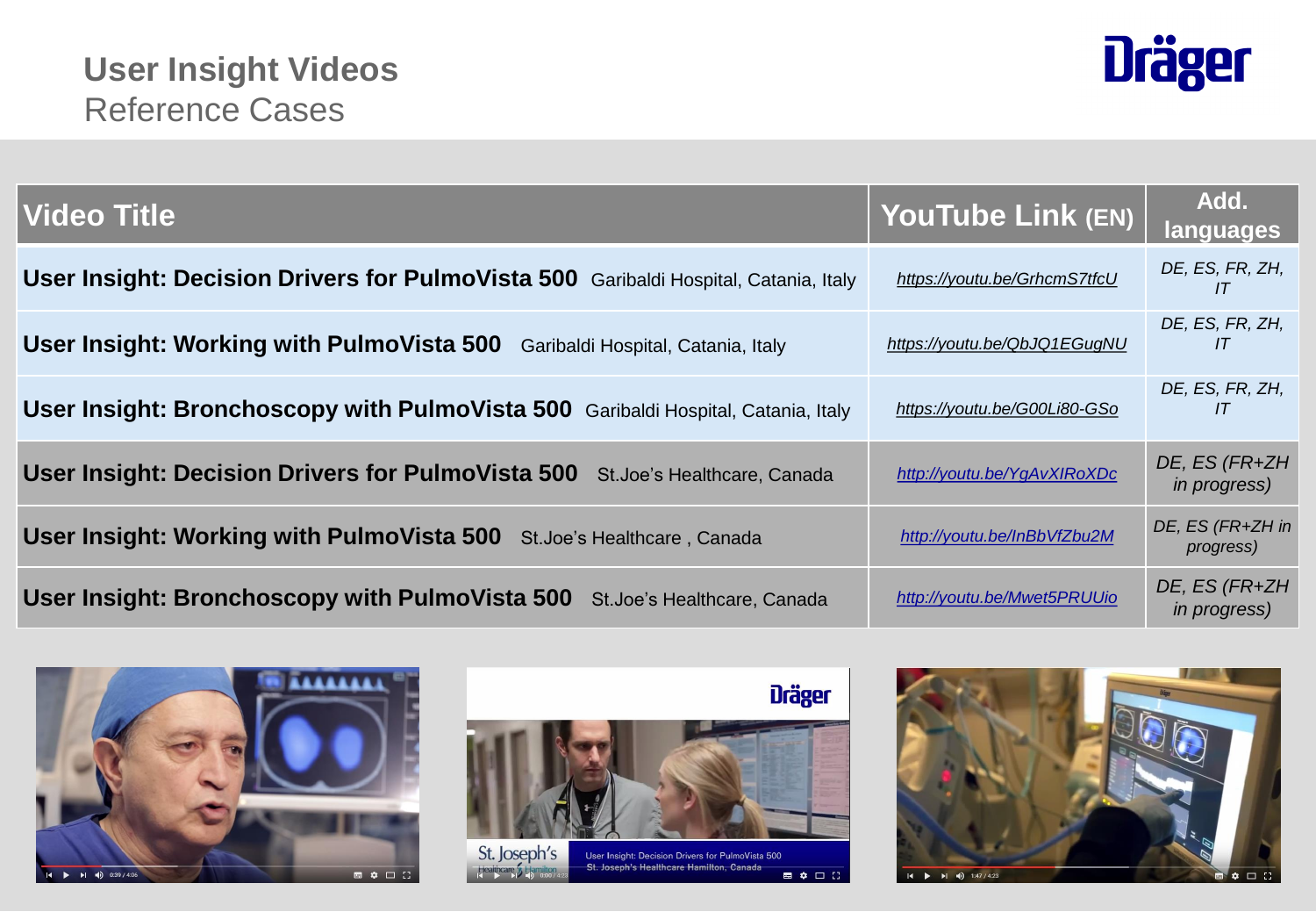

| <b>Video Title</b>                                                                          | <b>YouTube Link (EN)</b>     | Add.<br><b>languages</b>             |
|---------------------------------------------------------------------------------------------|------------------------------|--------------------------------------|
| <b>User Insight: Decision Drivers for PulmoVista 500</b> Garibaldi Hospital, Catania, Italy | https://youtu.be/GrhcmS7tfcU | DE, ES, FR, ZH,<br>IT                |
| <b>User Insight: Working with PulmoVista 500</b> Garibaldi Hospital, Catania, Italy         | https://youtu.be/QbJQ1EGugNU | DE, ES, FR, ZH,<br>IТ                |
| <b>User Insight: Bronchoscopy with PulmoVista 500</b> Garibaldi Hospital, Catania, Italy    | https://youtu.be/G00Li80-GSo | DE, ES, FR, ZH,<br>IT                |
| User Insight: Decision Drivers for PulmoVista 500<br>St.Joe's Healthcare, Canada            | http://youtu.be/YgAvXIRoXDc  | DE, ES (FR+ZH<br><i>in progress)</i> |
| <b>User Insight: Working with PulmoVista 500</b> St.Joe's Healthcare, Canada                | http://youtu.be/InBbVfZbu2M  | DE, ES (FR+ZH in<br>progress)        |
| User Insight: Bronchoscopy with PulmoVista 500<br>St.Joe's Healthcare, Canada               | http://youtu.be/Mwet5PRUUio  | DE, ES (FR+ZH<br><i>in progress)</i> |





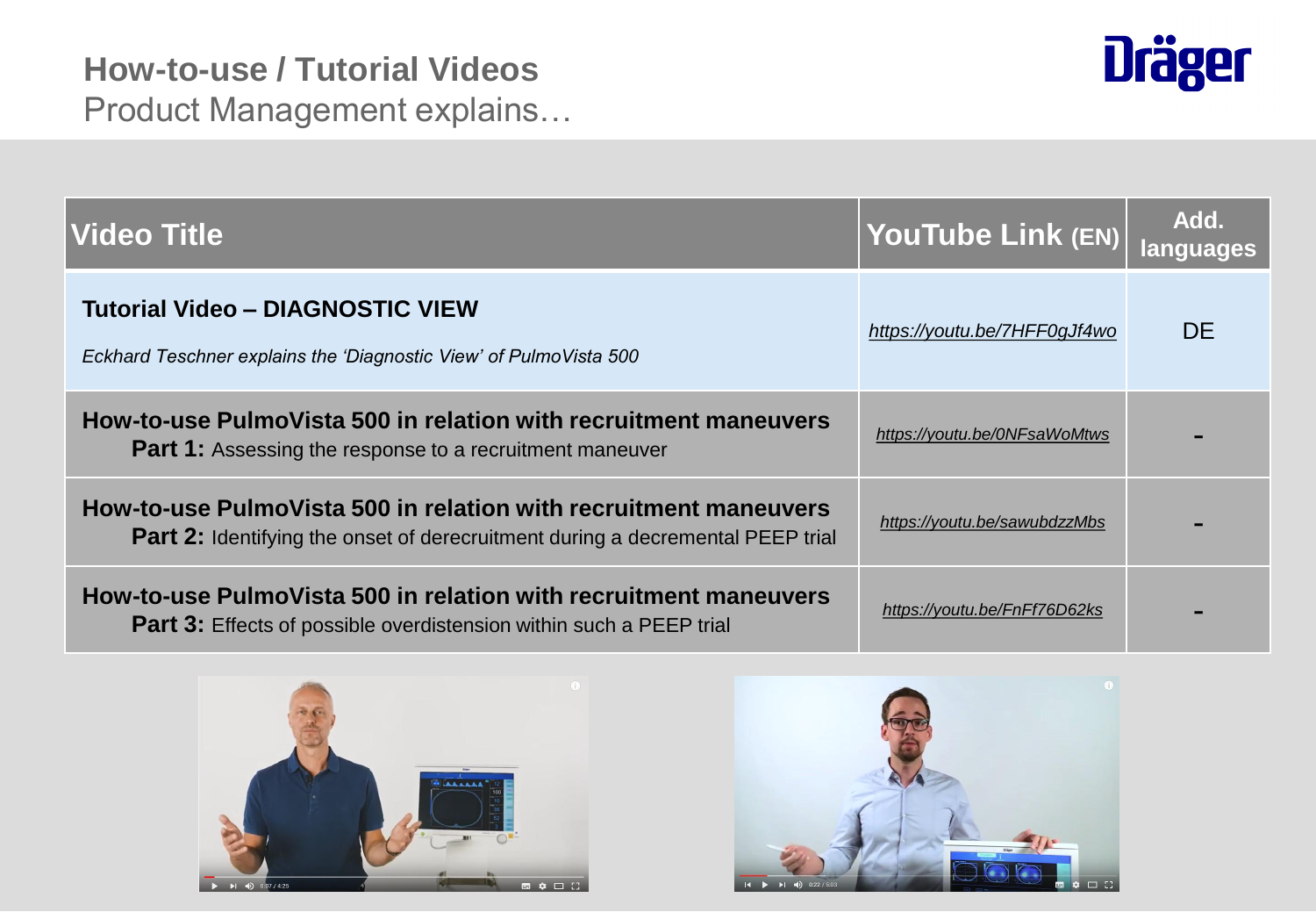

| <b>Video Title</b>                                                                                                                                        | <b>YouTube Link (EN)</b>     | Add.<br><b>languages</b> |
|-----------------------------------------------------------------------------------------------------------------------------------------------------------|------------------------------|--------------------------|
| <b>Tutorial Video - DIAGNOSTIC VIEW</b><br>Eckhard Teschner explains the 'Diagnostic View' of PulmoVista 500                                              | https://youtu.be/7HFF0gJf4wo | <b>DE</b>                |
| How-to-use PulmoVista 500 in relation with recruitment maneuvers<br><b>Part 1:</b> Assessing the response to a recruitment maneuver                       | https://youtu.be/0NFsaWoMtws |                          |
| How-to-use PulmoVista 500 in relation with recruitment maneuvers<br><b>Part 2:</b> Identifying the onset of derecruitment during a decremental PEEP trial | https://youtu.be/sawubdzzMbs |                          |
| How-to-use PulmoVista 500 in relation with recruitment maneuvers<br><b>Part 3:</b> Effects of possible overdistension within such a PEEP trial            | https://voutu.be/FnFf76D62ks |                          |



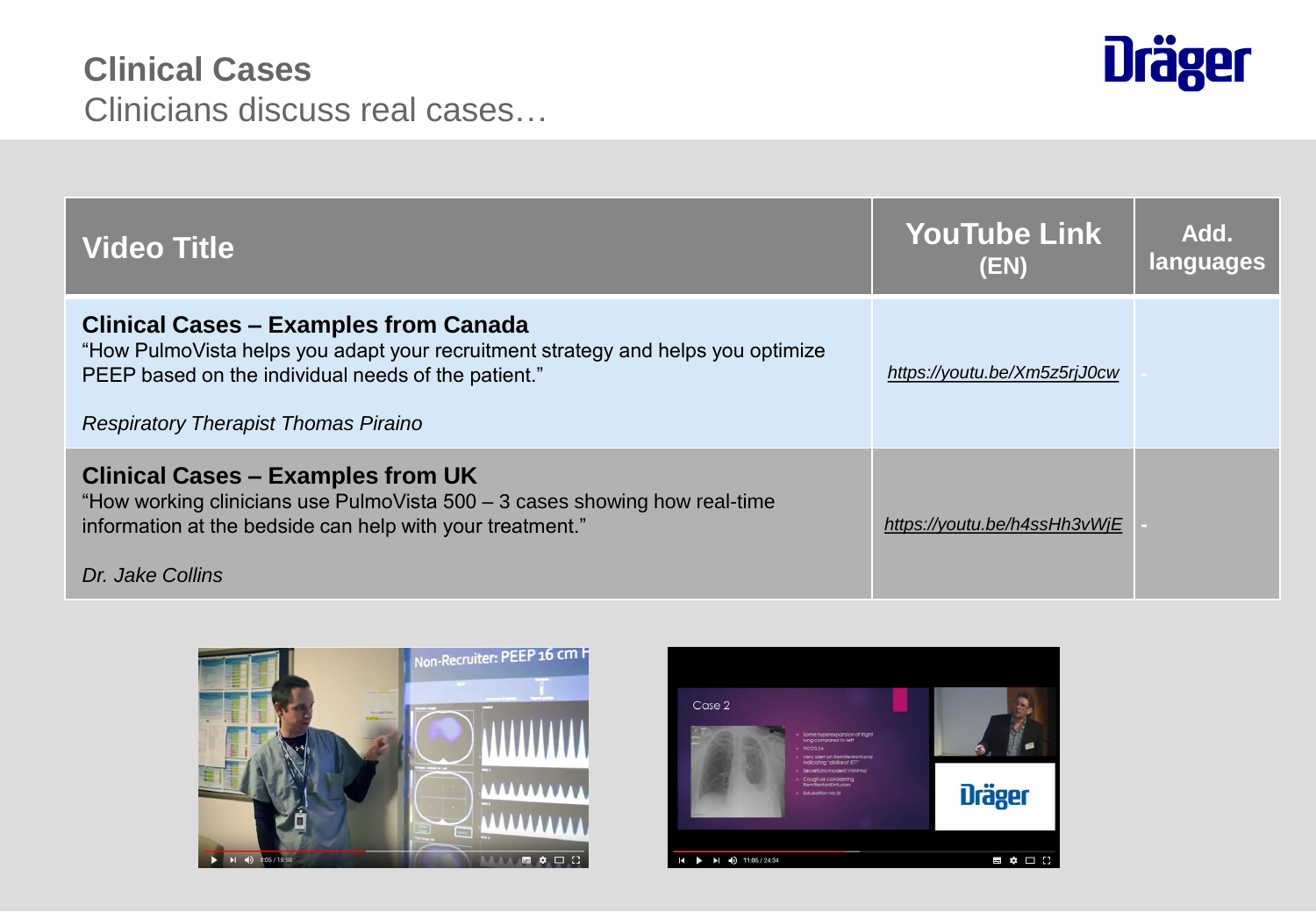## **Clinical Cases** Clinicians discuss real cases…



| <b>Video Title</b>                                                                                                                                                                                                                     | <b>YouTube Link</b><br>(EN)  | Add.<br>languages |
|----------------------------------------------------------------------------------------------------------------------------------------------------------------------------------------------------------------------------------------|------------------------------|-------------------|
| <b>Clinical Cases – Examples from Canada</b><br>"How PulmoVista helps you adapt your recruitment strategy and helps you optimize<br>PEEP based on the individual needs of the patient."<br><b>Respiratory Therapist Thomas Piraino</b> | https://youtu.be/Xm5z5rjJ0cw |                   |
| <b>Clinical Cases – Examples from UK</b><br>"How working clinicians use PulmoVista 500 - 3 cases showing how real-time<br>information at the bedside can help with your treatment."<br>Dr. Jake Collins                                | https://youtu.be/h4ssHh3vWjE |                   |



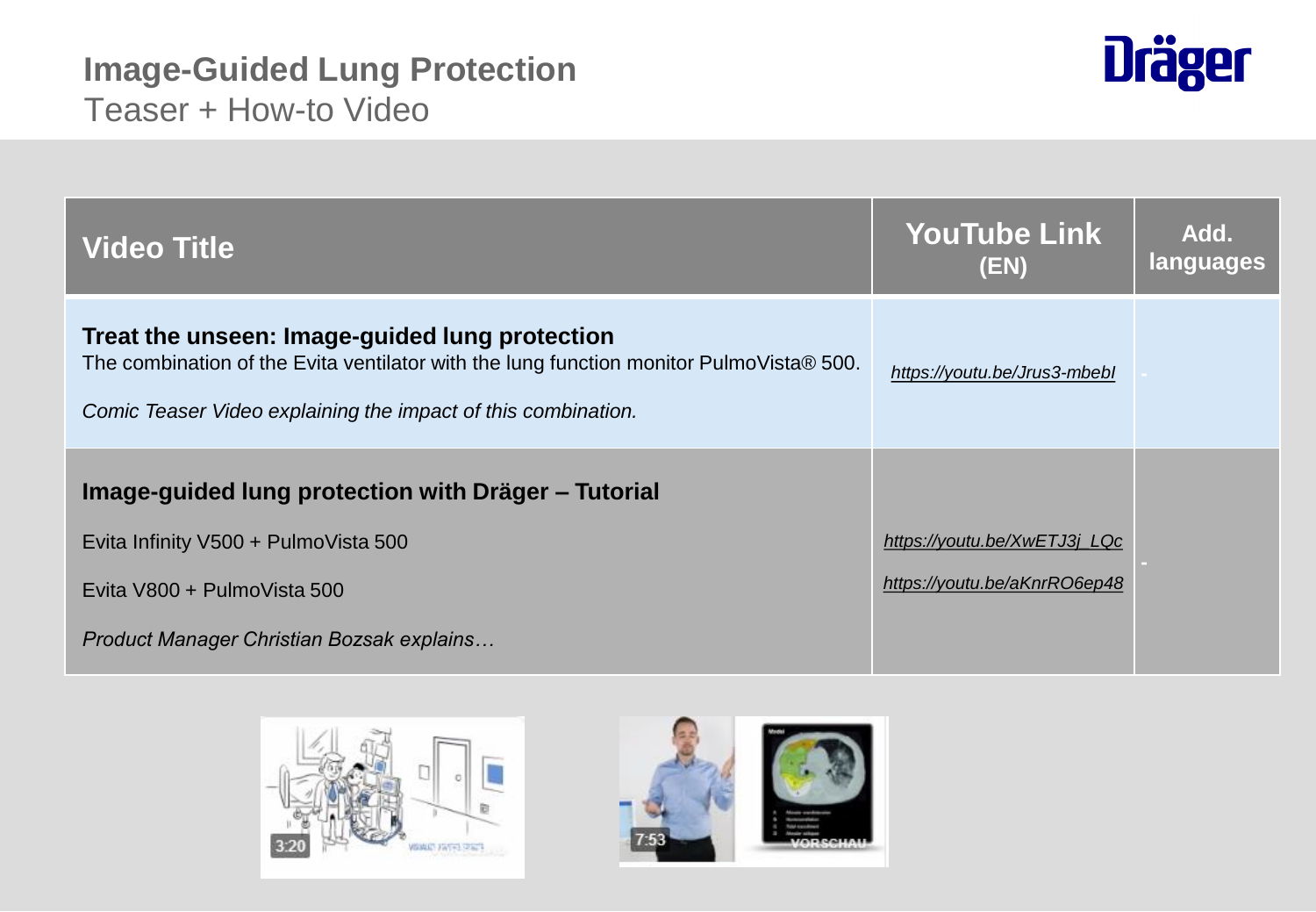## **Image-Guided Lung Protection** Teaser + How-to Video



| <b>Video Title</b>                                                                                                                                                                                         | <b>YouTube Link</b><br>(EN)  | Add.<br>languages |
|------------------------------------------------------------------------------------------------------------------------------------------------------------------------------------------------------------|------------------------------|-------------------|
| Treat the unseen: Image-guided lung protection<br>The combination of the Evita ventilator with the lung function monitor PulmoVista® 500.<br>Comic Teaser Video explaining the impact of this combination. | https://youtu.be/Jrus3-mbebl |                   |
| Image-guided lung protection with Dräger – Tutorial                                                                                                                                                        |                              |                   |
| Evita Infinity V500 + PulmoVista 500                                                                                                                                                                       | https://youtu.be/XwETJ3j_LQc |                   |
| Evita V800 + PulmoVista 500                                                                                                                                                                                | https://youtu.be/aKnrRO6ep48 |                   |
| Product Manager Christian Bozsak explains                                                                                                                                                                  |                              |                   |